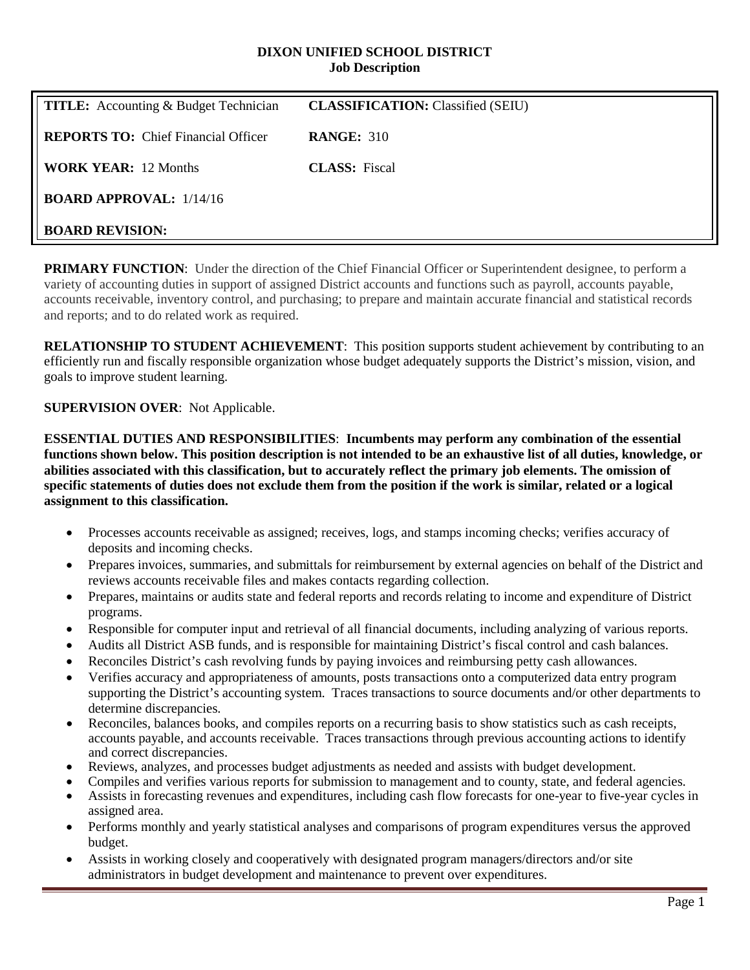#### **DIXON UNIFIED SCHOOL DISTRICT Job Description**

| <b>TITLE:</b> Accounting & Budget Technician | <b>CLASSIFICATION:</b> Classified (SEIU) |
|----------------------------------------------|------------------------------------------|
| <b>REPORTS TO:</b> Chief Financial Officer   | <b>RANGE: 310</b>                        |
| <b>WORK YEAR: 12 Months</b>                  | <b>CLASS:</b> Fiscal                     |
| <b>BOARD APPROVAL:</b> $1/14/16$             |                                          |
| <b>BOARD REVISION:</b>                       |                                          |

**PRIMARY FUNCTION:** Under the direction of the Chief Financial Officer or Superintendent designee, to perform a variety of accounting duties in support of assigned District accounts and functions such as payroll, accounts payable, accounts receivable, inventory control, and purchasing; to prepare and maintain accurate financial and statistical records and reports; and to do related work as required.

**RELATIONSHIP TO STUDENT ACHIEVEMENT:** This position supports student achievement by contributing to an efficiently run and fiscally responsible organization whose budget adequately supports the District's mission, vision, and goals to improve student learning.

# **SUPERVISION OVER**: Not Applicable.

**ESSENTIAL DUTIES AND RESPONSIBILITIES**: **Incumbents may perform any combination of the essential functions shown below. This position description is not intended to be an exhaustive list of all duties, knowledge, or abilities associated with this classification, but to accurately reflect the primary job elements. The omission of specific statements of duties does not exclude them from the position if the work is similar, related or a logical assignment to this classification.**

- Processes accounts receivable as assigned; receives, logs, and stamps incoming checks; verifies accuracy of deposits and incoming checks.
- Prepares invoices, summaries, and submittals for reimbursement by external agencies on behalf of the District and reviews accounts receivable files and makes contacts regarding collection.
- Prepares, maintains or audits state and federal reports and records relating to income and expenditure of District programs.
- Responsible for computer input and retrieval of all financial documents, including analyzing of various reports.
- Audits all District ASB funds, and is responsible for maintaining District's fiscal control and cash balances.
- Reconciles District's cash revolving funds by paying invoices and reimbursing petty cash allowances.
- Verifies accuracy and appropriateness of amounts, posts transactions onto a computerized data entry program supporting the District's accounting system. Traces transactions to source documents and/or other departments to determine discrepancies.
- Reconciles, balances books, and compiles reports on a recurring basis to show statistics such as cash receipts, accounts payable, and accounts receivable. Traces transactions through previous accounting actions to identify and correct discrepancies.
- Reviews, analyzes, and processes budget adjustments as needed and assists with budget development.
- Compiles and verifies various reports for submission to management and to county, state, and federal agencies. • Assists in forecasting revenues and expenditures, including cash flow forecasts for one-year to five-year cycles in
- assigned area.
- Performs monthly and yearly statistical analyses and comparisons of program expenditures versus the approved budget.
- Assists in working closely and cooperatively with designated program managers/directors and/or site administrators in budget development and maintenance to prevent over expenditures.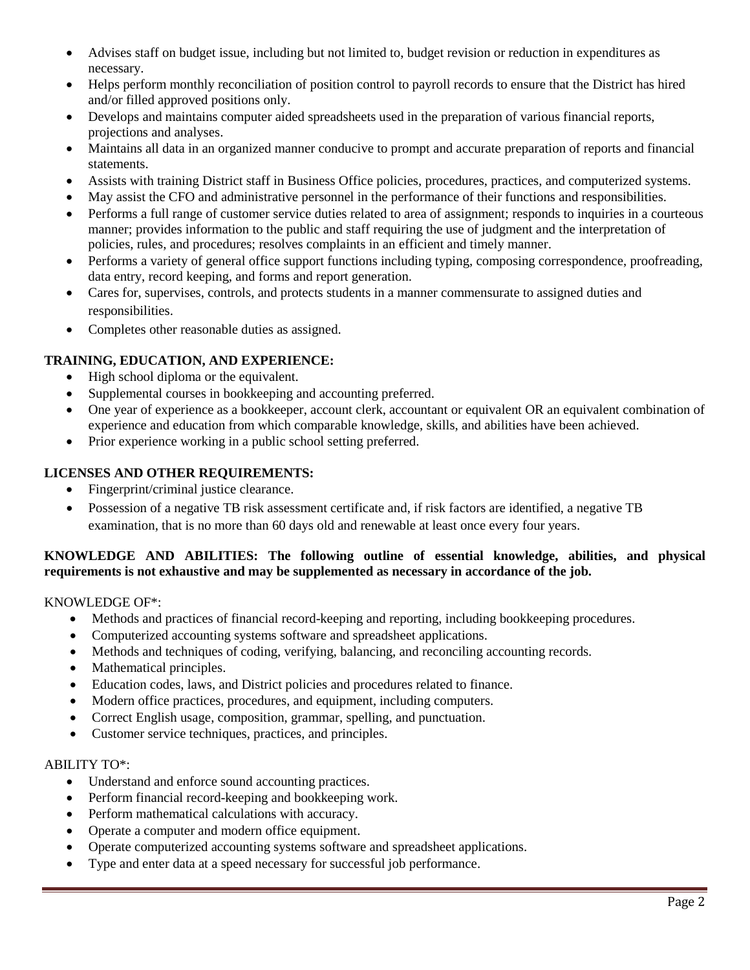- Advises staff on budget issue, including but not limited to, budget revision or reduction in expenditures as necessary.
- Helps perform monthly reconciliation of position control to payroll records to ensure that the District has hired and/or filled approved positions only.
- Develops and maintains computer aided spreadsheets used in the preparation of various financial reports, projections and analyses.
- Maintains all data in an organized manner conducive to prompt and accurate preparation of reports and financial statements.
- Assists with training District staff in Business Office policies, procedures, practices, and computerized systems.
- May assist the CFO and administrative personnel in the performance of their functions and responsibilities.
- Performs a full range of customer service duties related to area of assignment; responds to inquiries in a courteous manner; provides information to the public and staff requiring the use of judgment and the interpretation of policies, rules, and procedures; resolves complaints in an efficient and timely manner.
- Performs a variety of general office support functions including typing, composing correspondence, proofreading, data entry, record keeping, and forms and report generation.
- Cares for, supervises, controls, and protects students in a manner commensurate to assigned duties and responsibilities.
- Completes other reasonable duties as assigned.

# **TRAINING, EDUCATION, AND EXPERIENCE:**

- High school diploma or the equivalent.
- Supplemental courses in bookkeeping and accounting preferred.
- One year of experience as a bookkeeper, account clerk, accountant or equivalent OR an equivalent combination of experience and education from which comparable knowledge, skills, and abilities have been achieved.
- Prior experience working in a public school setting preferred.

# **LICENSES AND OTHER REQUIREMENTS:**

- Fingerprint/criminal justice clearance.
- Possession of a negative TB risk assessment certificate and, if risk factors are identified, a negative TB examination, that is no more than 60 days old and renewable at least once every four years.

## **KNOWLEDGE AND ABILITIES: The following outline of essential knowledge, abilities, and physical requirements is not exhaustive and may be supplemented as necessary in accordance of the job.**

### KNOWLEDGE OF\*:

- Methods and practices of financial record-keeping and reporting, including bookkeeping procedures.
- Computerized accounting systems software and spreadsheet applications.
- Methods and techniques of coding, verifying, balancing, and reconciling accounting records.
- Mathematical principles.
- Education codes, laws, and District policies and procedures related to finance.
- Modern office practices, procedures, and equipment, including computers.
- Correct English usage, composition, grammar, spelling, and punctuation.
- Customer service techniques, practices, and principles.

### ABILITY TO\*:

- Understand and enforce sound accounting practices.
- Perform financial record-keeping and bookkeeping work.
- Perform mathematical calculations with accuracy.
- Operate a computer and modern office equipment.
- Operate computerized accounting systems software and spreadsheet applications.
- Type and enter data at a speed necessary for successful job performance.